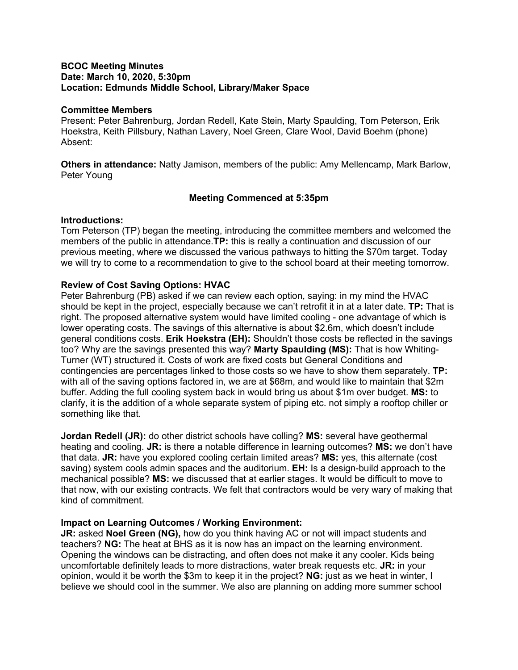#### **BCOC Meeting Minutes Date: March 10, 2020, 5:30pm Location: Edmunds Middle School, Library/Maker Space**

#### **Committee Members**

Present: Peter Bahrenburg, Jordan Redell, Kate Stein, Marty Spaulding, Tom Peterson, Erik Hoekstra, Keith Pillsbury, Nathan Lavery, Noel Green, Clare Wool, David Boehm (phone) Absent:

**Others in attendance:** Natty Jamison, members of the public: Amy Mellencamp, Mark Barlow, Peter Young

## **Meeting Commenced at 5:35pm**

#### **Introductions:**

Tom Peterson (TP) began the meeting, introducing the committee members and welcomed the members of the public in attendance.**TP:** this is really a continuation and discussion of our previous meeting, where we discussed the various pathways to hitting the \$70m target. Today we will try to come to a recommendation to give to the school board at their meeting tomorrow.

## **Review of Cost Saving Options: HVAC**

Peter Bahrenburg (PB) asked if we can review each option, saying: in my mind the HVAC should be kept in the project, especially because we can't retrofit it in at a later date. **TP:** That is right. The proposed alternative system would have limited cooling - one advantage of which is lower operating costs. The savings of this alternative is about \$2.6m, which doesn't include general conditions costs. **Erik Hoekstra (EH):** Shouldn't those costs be reflected in the savings too? Why are the savings presented this way? **Marty Spaulding (MS):** That is how Whiting-Turner (WT) structured it. Costs of work are fixed costs but General Conditions and contingencies are percentages linked to those costs so we have to show them separately. **TP:**  with all of the saving options factored in, we are at \$68m, and would like to maintain that \$2m buffer. Adding the full cooling system back in would bring us about \$1m over budget. **MS:** to clarify, it is the addition of a whole separate system of piping etc. not simply a rooftop chiller or something like that.

**Jordan Redell (JR):** do other district schools have colling? **MS:** several have geothermal heating and cooling. **JR:** is there a notable difference in learning outcomes? **MS:** we don't have that data. **JR:** have you explored cooling certain limited areas? **MS:** yes, this alternate (cost saving) system cools admin spaces and the auditorium. **EH:** Is a design-build approach to the mechanical possible? **MS:** we discussed that at earlier stages. It would be difficult to move to that now, with our existing contracts. We felt that contractors would be very wary of making that kind of commitment.

#### **Impact on Learning Outcomes / Working Environment:**

**JR:** asked **Noel Green (NG),** how do you think having AC or not will impact students and teachers? **NG:** The heat at BHS as it is now has an impact on the learning environment. Opening the windows can be distracting, and often does not make it any cooler. Kids being uncomfortable definitely leads to more distractions, water break requests etc. **JR:** in your opinion, would it be worth the \$3m to keep it in the project? **NG:** just as we heat in winter, I believe we should cool in the summer. We also are planning on adding more summer school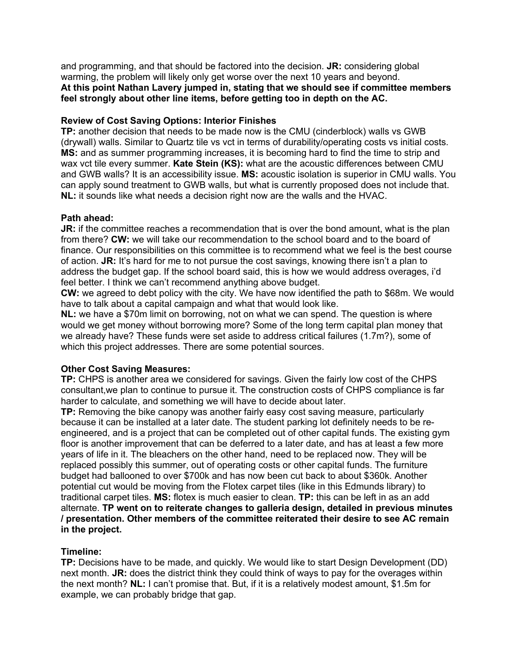and programming, and that should be factored into the decision. **JR:** considering global warming, the problem will likely only get worse over the next 10 years and beyond. **At this point Nathan Lavery jumped in, stating that we should see if committee members feel strongly about other line items, before getting too in depth on the AC.**

## **Review of Cost Saving Options: Interior Finishes**

**TP:** another decision that needs to be made now is the CMU (cinderblock) walls vs GWB (drywall) walls. Similar to Quartz tile vs vct in terms of durability/operating costs vs initial costs. **MS:** and as summer programming increases, it is becoming hard to find the time to strip and wax vct tile every summer. **Kate Stein (KS):** what are the acoustic differences between CMU and GWB walls? It is an accessibility issue. **MS:** acoustic isolation is superior in CMU walls. You can apply sound treatment to GWB walls, but what is currently proposed does not include that. **NL:** it sounds like what needs a decision right now are the walls and the HVAC.

## **Path ahead:**

**JR:** if the committee reaches a recommendation that is over the bond amount, what is the plan from there? **CW:** we will take our recommendation to the school board and to the board of finance. Our responsibilities on this committee is to recommend what we feel is the best course of action. **JR:** It's hard for me to not pursue the cost savings, knowing there isn't a plan to address the budget gap. If the school board said, this is how we would address overages, i'd feel better. I think we can't recommend anything above budget.

**CW:** we agreed to debt policy with the city. We have now identified the path to \$68m. We would have to talk about a capital campaign and what that would look like.

**NL:** we have a \$70m limit on borrowing, not on what we can spend. The question is where would we get money without borrowing more? Some of the long term capital plan money that we already have? These funds were set aside to address critical failures (1.7m?), some of which this project addresses. There are some potential sources.

#### **Other Cost Saving Measures:**

**TP:** CHPS is another area we considered for savings. Given the fairly low cost of the CHPS consultant,we plan to continue to pursue it. The construction costs of CHPS compliance is far harder to calculate, and something we will have to decide about later.

**TP:** Removing the bike canopy was another fairly easy cost saving measure, particularly because it can be installed at a later date. The student parking lot definitely needs to be reengineered, and is a project that can be completed out of other capital funds. The existing gym floor is another improvement that can be deferred to a later date, and has at least a few more years of life in it. The bleachers on the other hand, need to be replaced now. They will be replaced possibly this summer, out of operating costs or other capital funds. The furniture budget had ballooned to over \$700k and has now been cut back to about \$360k. Another potential cut would be moving from the Flotex carpet tiles (like in this Edmunds library) to traditional carpet tiles. **MS:** flotex is much easier to clean. **TP:** this can be left in as an add alternate. **TP went on to reiterate changes to galleria design, detailed in previous minutes / presentation. Other members of the committee reiterated their desire to see AC remain in the project.**

# **Timeline:**

**TP:** Decisions have to be made, and quickly. We would like to start Design Development (DD) next month. **JR:** does the district think they could think of ways to pay for the overages within the next month? **NL:** I can't promise that. But, if it is a relatively modest amount, \$1.5m for example, we can probably bridge that gap.